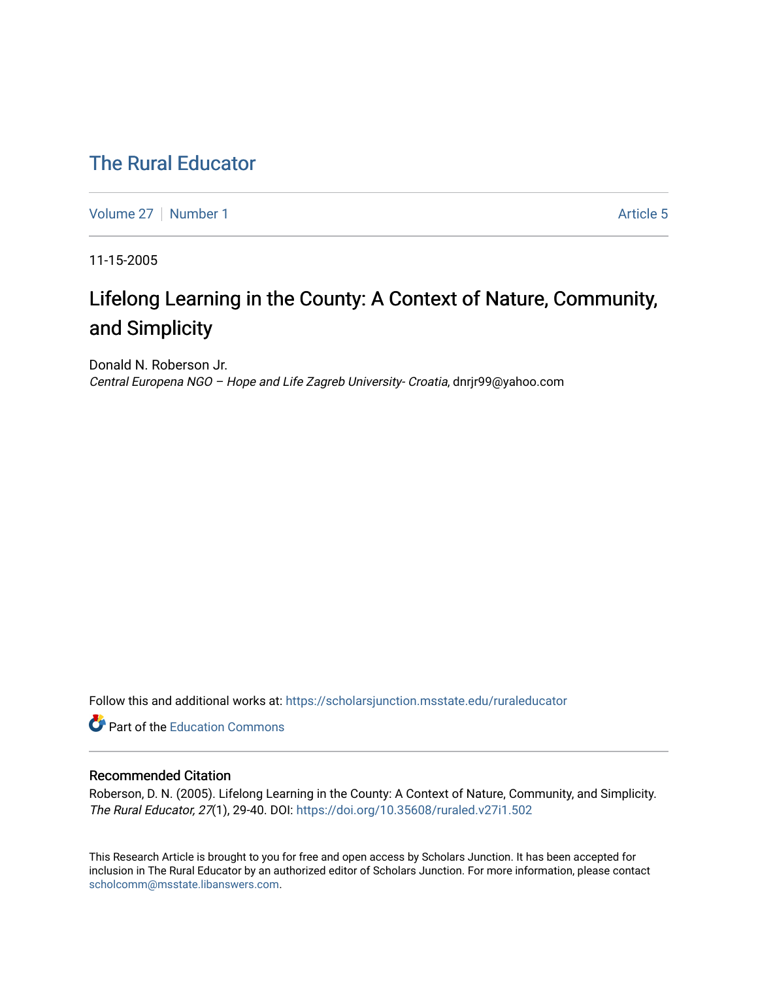## [The Rural Educator](https://scholarsjunction.msstate.edu/ruraleducator)

[Volume 27](https://scholarsjunction.msstate.edu/ruraleducator/vol27) | [Number 1](https://scholarsjunction.msstate.edu/ruraleducator/vol27/iss1) Article 5

11-15-2005

# Lifelong Learning in the County: A Context of Nature, Community, and Simplicity

Donald N. Roberson Jr. Central Europena NGO – Hope and Life Zagreb University- Croatia, dnrjr99@yahoo.com

Follow this and additional works at: [https://scholarsjunction.msstate.edu/ruraleducator](https://scholarsjunction.msstate.edu/ruraleducator?utm_source=scholarsjunction.msstate.edu%2Fruraleducator%2Fvol27%2Fiss1%2F5&utm_medium=PDF&utm_campaign=PDFCoverPages)

**C** Part of the [Education Commons](http://network.bepress.com/hgg/discipline/784?utm_source=scholarsjunction.msstate.edu%2Fruraleducator%2Fvol27%2Fiss1%2F5&utm_medium=PDF&utm_campaign=PDFCoverPages)

### Recommended Citation

Roberson, D. N. (2005). Lifelong Learning in the County: A Context of Nature, Community, and Simplicity. The Rural Educator, 27(1), 29-40. DOI: <https://doi.org/10.35608/ruraled.v27i1.502>

This Research Article is brought to you for free and open access by Scholars Junction. It has been accepted for inclusion in The Rural Educator by an authorized editor of Scholars Junction. For more information, please contact [scholcomm@msstate.libanswers.com.](mailto:scholcomm@msstate.libanswers.com)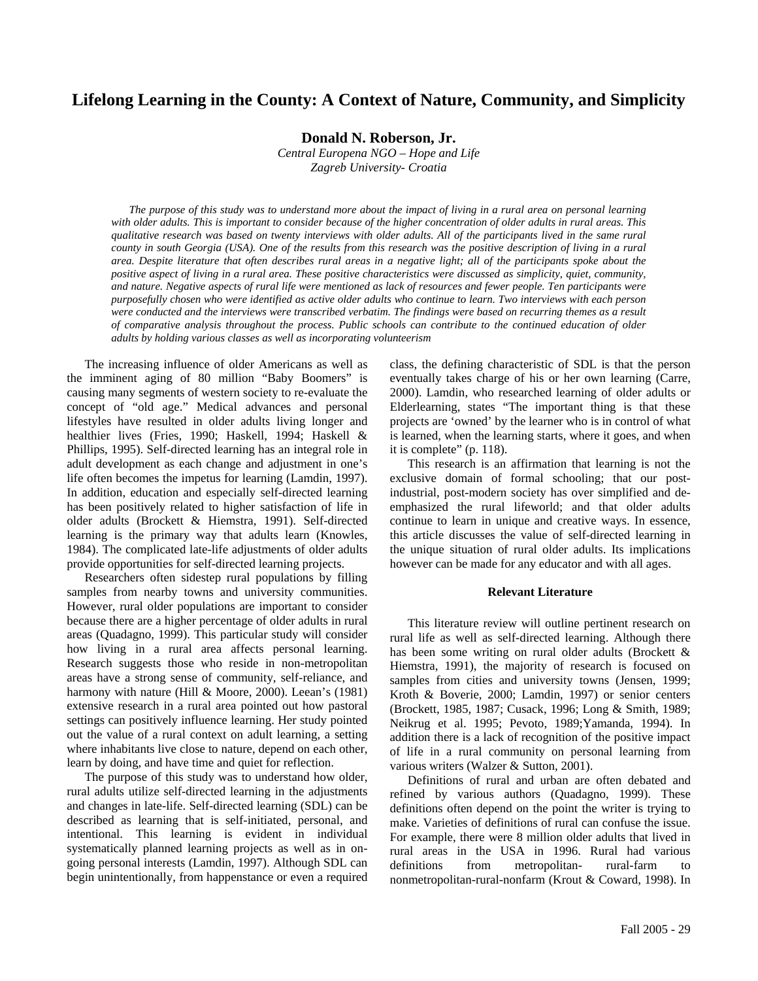## **Lifelong Learning in the County: A Context of Nature, Community, and Simplicity**

**Donald N. Roberson, Jr.** 

*Central Europena NGO – Hope and Life Zagreb University- Croatia* 

*The purpose of this study was to understand more about the impact of living in a rural area on personal learning with older adults. This is important to consider because of the higher concentration of older adults in rural areas. This qualitative research was based on twenty interviews with older adults. All of the participants lived in the same rural county in south Georgia (USA). One of the results from this research was the positive description of living in a rural*  area. Despite literature that often describes rural areas in a negative light; all of the participants spoke about the *positive aspect of living in a rural area. These positive characteristics were discussed as simplicity, quiet, community, and nature. Negative aspects of rural life were mentioned as lack of resources and fewer people. Ten participants were purposefully chosen who were identified as active older adults who continue to learn. Two interviews with each person*  were conducted and the interviews were transcribed verbatim. The findings were based on recurring themes as a result *of comparative analysis throughout the process. Public schools can contribute to the continued education of older adults by holding various classes as well as incorporating volunteerism* 

The increasing influence of older Americans as well as the imminent aging of 80 million "Baby Boomers" is causing many segments of western society to re-evaluate the concept of "old age." Medical advances and personal lifestyles have resulted in older adults living longer and healthier lives (Fries, 1990; Haskell, 1994; Haskell & Phillips, 1995). Self-directed learning has an integral role in adult development as each change and adjustment in one's life often becomes the impetus for learning (Lamdin, 1997). In addition, education and especially self-directed learning has been positively related to higher satisfaction of life in older adults (Brockett & Hiemstra, 1991). Self-directed learning is the primary way that adults learn (Knowles, 1984). The complicated late-life adjustments of older adults provide opportunities for self-directed learning projects.

Researchers often sidestep rural populations by filling samples from nearby towns and university communities. However, rural older populations are important to consider because there are a higher percentage of older adults in rural areas (Quadagno, 1999). This particular study will consider how living in a rural area affects personal learning. Research suggests those who reside in non-metropolitan areas have a strong sense of community, self-reliance, and harmony with nature (Hill & Moore, 2000). Leean's (1981) extensive research in a rural area pointed out how pastoral settings can positively influence learning. Her study pointed out the value of a rural context on adult learning, a setting where inhabitants live close to nature, depend on each other, learn by doing, and have time and quiet for reflection.

The purpose of this study was to understand how older, rural adults utilize self-directed learning in the adjustments and changes in late-life. Self-directed learning (SDL) can be described as learning that is self-initiated, personal, and intentional. This learning is evident in individual systematically planned learning projects as well as in ongoing personal interests (Lamdin, 1997). Although SDL can begin unintentionally, from happenstance or even a required class, the defining characteristic of SDL is that the person eventually takes charge of his or her own learning (Carre, 2000). Lamdin, who researched learning of older adults or Elderlearning, states "The important thing is that these projects are 'owned' by the learner who is in control of what is learned, when the learning starts, where it goes, and when it is complete" (p. 118).

This research is an affirmation that learning is not the exclusive domain of formal schooling; that our postindustrial, post-modern society has over simplified and deemphasized the rural lifeworld; and that older adults continue to learn in unique and creative ways. In essence, this article discusses the value of self-directed learning in the unique situation of rural older adults. Its implications however can be made for any educator and with all ages.

#### **Relevant Literature**

This literature review will outline pertinent research on rural life as well as self-directed learning. Although there has been some writing on rural older adults (Brockett & Hiemstra, 1991), the majority of research is focused on samples from cities and university towns (Jensen, 1999; Kroth & Boverie, 2000; Lamdin, 1997) or senior centers (Brockett, 1985, 1987; Cusack, 1996; Long & Smith, 1989; Neikrug et al. 1995; Pevoto, 1989;Yamanda, 1994). In addition there is a lack of recognition of the positive impact of life in a rural community on personal learning from various writers (Walzer & Sutton, 2001).

Definitions of rural and urban are often debated and refined by various authors (Quadagno, 1999). These definitions often depend on the point the writer is trying to make. Varieties of definitions of rural can confuse the issue. For example, there were 8 million older adults that lived in rural areas in the USA in 1996. Rural had various definitions from metropolitan- rural-farm to nonmetropolitan-rural-nonfarm (Krout & Coward, 1998). In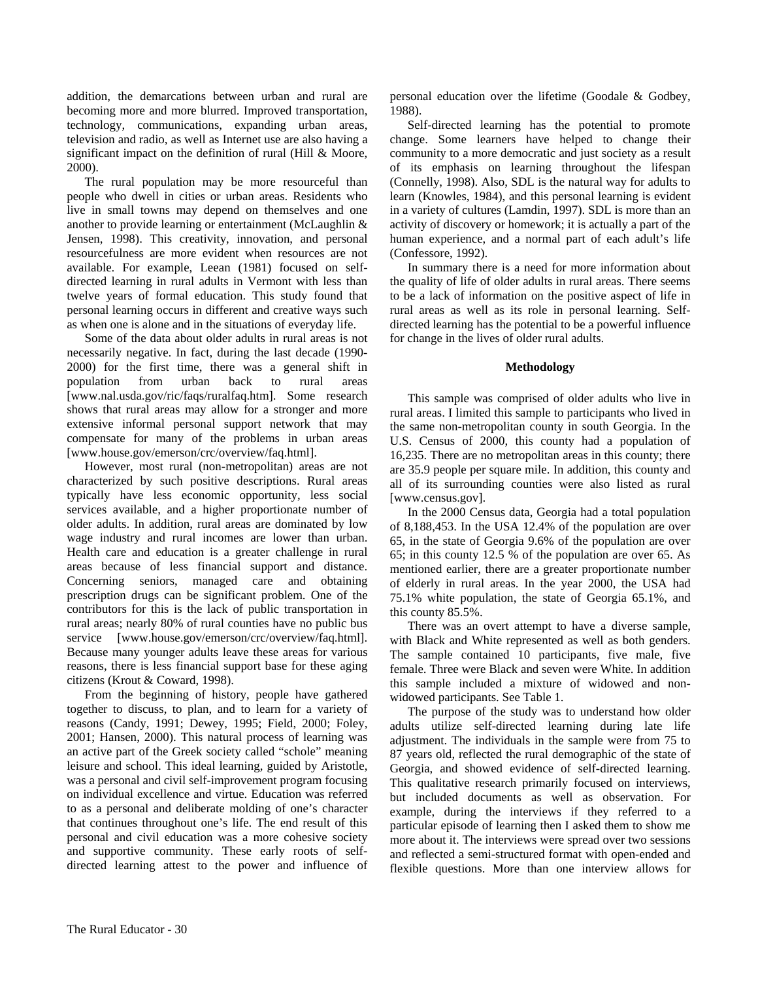addition, the demarcations between urban and rural are becoming more and more blurred. Improved transportation, technology, communications, expanding urban areas, television and radio, as well as Internet use are also having a significant impact on the definition of rural (Hill & Moore, 2000).

The rural population may be more resourceful than people who dwell in cities or urban areas. Residents who live in small towns may depend on themselves and one another to provide learning or entertainment (McLaughlin & Jensen, 1998). This creativity, innovation, and personal resourcefulness are more evident when resources are not available. For example, Leean (1981) focused on selfdirected learning in rural adults in Vermont with less than twelve years of formal education. This study found that personal learning occurs in different and creative ways such as when one is alone and in the situations of everyday life.

Some of the data about older adults in rural areas is not necessarily negative. In fact, during the last decade (1990- 2000) for the first time, there was a general shift in population from urban back to rural areas [www.nal.usda.gov/ric/faqs/ruralfaq.htm]. Some research shows that rural areas may allow for a stronger and more extensive informal personal support network that may compensate for many of the problems in urban areas [www.house.gov/emerson/crc/overview/faq.html].

However, most rural (non-metropolitan) areas are not characterized by such positive descriptions. Rural areas typically have less economic opportunity, less social services available, and a higher proportionate number of older adults. In addition, rural areas are dominated by low wage industry and rural incomes are lower than urban. Health care and education is a greater challenge in rural areas because of less financial support and distance. Concerning seniors, managed care and obtaining prescription drugs can be significant problem. One of the contributors for this is the lack of public transportation in rural areas; nearly 80% of rural counties have no public bus service [www.house.gov/emerson/crc/overview/faq.html]. Because many younger adults leave these areas for various reasons, there is less financial support base for these aging citizens (Krout & Coward, 1998).

From the beginning of history, people have gathered together to discuss, to plan, and to learn for a variety of reasons (Candy, 1991; Dewey, 1995; Field, 2000; Foley, 2001; Hansen, 2000). This natural process of learning was an active part of the Greek society called "schole" meaning leisure and school. This ideal learning, guided by Aristotle, was a personal and civil self-improvement program focusing on individual excellence and virtue. Education was referred to as a personal and deliberate molding of one's character that continues throughout one's life. The end result of this personal and civil education was a more cohesive society and supportive community. These early roots of selfdirected learning attest to the power and influence of personal education over the lifetime (Goodale & Godbey, 1988).

Self-directed learning has the potential to promote change. Some learners have helped to change their community to a more democratic and just society as a result of its emphasis on learning throughout the lifespan (Connelly, 1998). Also, SDL is the natural way for adults to learn (Knowles, 1984), and this personal learning is evident in a variety of cultures (Lamdin, 1997). SDL is more than an activity of discovery or homework; it is actually a part of the human experience, and a normal part of each adult's life (Confessore, 1992).

In summary there is a need for more information about the quality of life of older adults in rural areas. There seems to be a lack of information on the positive aspect of life in rural areas as well as its role in personal learning. Selfdirected learning has the potential to be a powerful influence for change in the lives of older rural adults.

#### **Methodology**

This sample was comprised of older adults who live in rural areas. I limited this sample to participants who lived in the same non-metropolitan county in south Georgia. In the U.S. Census of 2000, this county had a population of 16,235. There are no metropolitan areas in this county; there are 35.9 people per square mile. In addition, this county and all of its surrounding counties were also listed as rural [www.census.gov].

In the 2000 Census data, Georgia had a total population of 8,188,453. In the USA 12.4% of the population are over 65, in the state of Georgia 9.6% of the population are over 65; in this county 12.5 % of the population are over 65. As mentioned earlier, there are a greater proportionate number of elderly in rural areas. In the year 2000, the USA had 75.1% white population, the state of Georgia 65.1%, and this county 85.5%.

There was an overt attempt to have a diverse sample, with Black and White represented as well as both genders. The sample contained 10 participants, five male, five female. Three were Black and seven were White. In addition this sample included a mixture of widowed and nonwidowed participants. See Table 1.

The purpose of the study was to understand how older adults utilize self-directed learning during late life adjustment. The individuals in the sample were from 75 to 87 years old, reflected the rural demographic of the state of Georgia, and showed evidence of self-directed learning. This qualitative research primarily focused on interviews, but included documents as well as observation. For example, during the interviews if they referred to a particular episode of learning then I asked them to show me more about it. The interviews were spread over two sessions and reflected a semi-structured format with open-ended and flexible questions. More than one interview allows for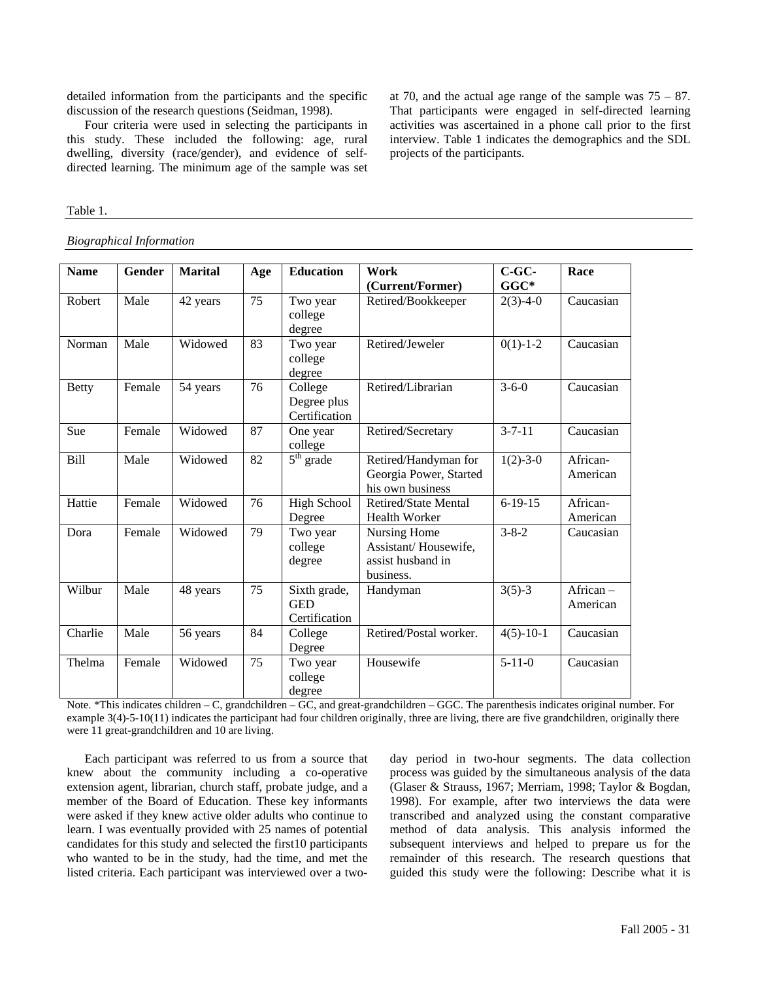detailed information from the participants and the specific discussion of the research questions (Seidman, 1998).

Four criteria were used in selecting the participants in this study. These included the following: age, rural dwelling, diversity (race/gender), and evidence of selfdirected learning. The minimum age of the sample was set at 70, and the actual age range of the sample was  $75 - 87$ . That participants were engaged in self-directed learning activities was ascertained in a phone call prior to the first interview. Table 1 indicates the demographics and the SDL projects of the participants.

#### Table 1.

*Biographical Information* 

| <b>Name</b>  | <b>Gender</b> | <b>Marital</b> | Age | <b>Education</b>                            | Work<br>(Current/Former)                                               | $C$ -GC-<br>$GGC*$ | Race                 |
|--------------|---------------|----------------|-----|---------------------------------------------|------------------------------------------------------------------------|--------------------|----------------------|
| Robert       | Male          | 42 years       | 75  | Two year<br>college<br>degree               | Retired/Bookkeeper                                                     | $2(3)-4-0$         | Caucasian            |
| Norman       | Male          | Widowed        | 83  | Two year<br>college<br>degree               | Retired/Jeweler                                                        | $0(1)-1-2$         | Caucasian            |
| <b>Betty</b> | Female        | 54 years       | 76  | College<br>Degree plus<br>Certification     | Retired/Librarian                                                      | $3 - 6 - 0$        | Caucasian            |
| Sue          | Female        | Widowed        | 87  | One year<br>college                         | Retired/Secretary                                                      | $3 - 7 - 11$       | Caucasian            |
| Bill         | Male          | Widowed        | 82  | $5th$ grade                                 | Retired/Handyman for<br>Georgia Power, Started<br>his own business     | $1(2)-3-0$         | African-<br>American |
| Hattie       | Female        | Widowed        | 76  | <b>High School</b><br>Degree                | <b>Retired/State Mental</b><br><b>Health Worker</b>                    | $6-19-15$          | African-<br>American |
| Dora         | Female        | Widowed        | 79  | Two year<br>college<br>degree               | Nursing Home<br>Assistant/Housewife,<br>assist husband in<br>business. | $3 - 8 - 2$        | Caucasian            |
| Wilbur       | Male          | 48 years       | 75  | Sixth grade,<br><b>GED</b><br>Certification | Handyman                                                               | $3(5)-3$           | African-<br>American |
| Charlie      | Male          | 56 years       | 84  | College<br>Degree                           | Retired/Postal worker.                                                 | $4(5)-10-1$        | Caucasian            |
| Thelma       | Female        | Widowed        | 75  | Two year<br>college<br>degree               | Housewife                                                              | $5 - 11 - 0$       | Caucasian            |

Note. \*This indicates children – C, grandchildren – GC, and great-grandchildren – GGC. The parenthesis indicates original number. For example 3(4)-5-10(11) indicates the participant had four children originally, three are living, there are five grandchildren, originally there were 11 great-grandchildren and 10 are living.

Each participant was referred to us from a source that knew about the community including a co-operative extension agent, librarian, church staff, probate judge, and a member of the Board of Education. These key informants were asked if they knew active older adults who continue to learn. I was eventually provided with 25 names of potential candidates for this study and selected the first10 participants who wanted to be in the study, had the time, and met the listed criteria. Each participant was interviewed over a twoday period in two-hour segments. The data collection process was guided by the simultaneous analysis of the data (Glaser & Strauss, 1967; Merriam, 1998; Taylor & Bogdan, 1998). For example, after two interviews the data were transcribed and analyzed using the constant comparative method of data analysis. This analysis informed the subsequent interviews and helped to prepare us for the remainder of this research. The research questions that guided this study were the following: Describe what it is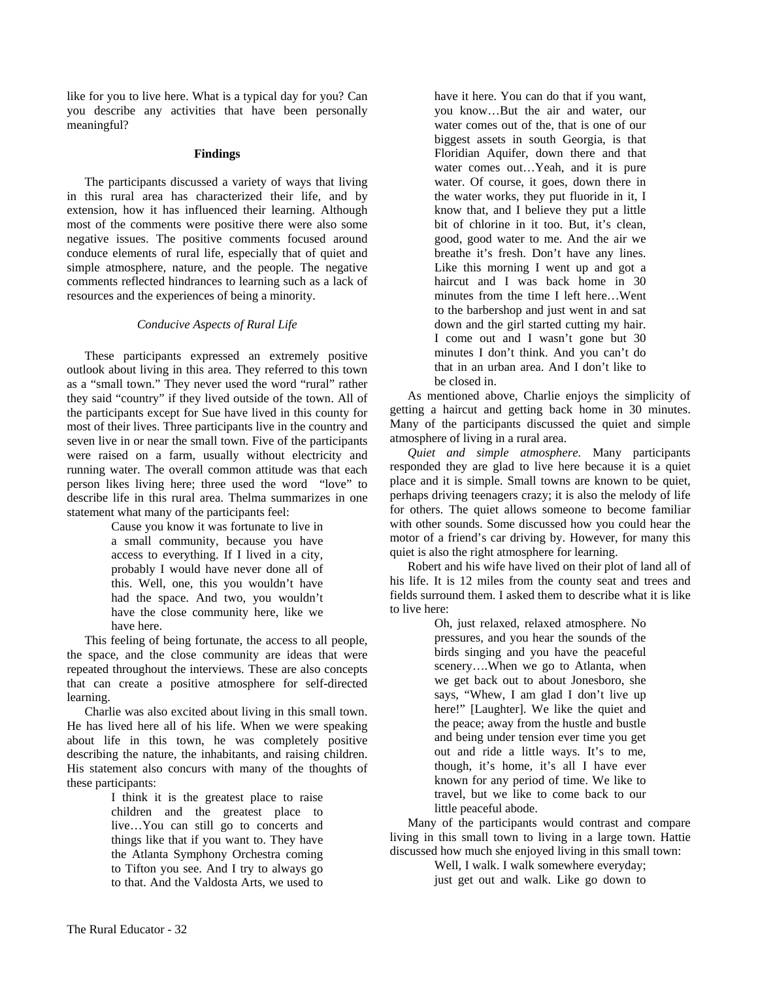like for you to live here. What is a typical day for you? Can you describe any activities that have been personally meaningful?

#### **Findings**

The participants discussed a variety of ways that living in this rural area has characterized their life, and by extension, how it has influenced their learning. Although most of the comments were positive there were also some negative issues. The positive comments focused around conduce elements of rural life, especially that of quiet and simple atmosphere, nature, and the people. The negative comments reflected hindrances to learning such as a lack of resources and the experiences of being a minority.

#### *Conducive Aspects of Rural Life*

These participants expressed an extremely positive outlook about living in this area. They referred to this town as a "small town." They never used the word "rural" rather they said "country" if they lived outside of the town. All of the participants except for Sue have lived in this county for most of their lives. Three participants live in the country and seven live in or near the small town. Five of the participants were raised on a farm, usually without electricity and running water. The overall common attitude was that each person likes living here; three used the word "love" to describe life in this rural area. Thelma summarizes in one statement what many of the participants feel:

> Cause you know it was fortunate to live in a small community, because you have access to everything. If I lived in a city, probably I would have never done all of this. Well, one, this you wouldn't have had the space. And two, you wouldn't have the close community here, like we have here.

This feeling of being fortunate, the access to all people, the space, and the close community are ideas that were repeated throughout the interviews. These are also concepts that can create a positive atmosphere for self-directed learning.

Charlie was also excited about living in this small town. He has lived here all of his life. When we were speaking about life in this town, he was completely positive describing the nature, the inhabitants, and raising children. His statement also concurs with many of the thoughts of these participants:

> I think it is the greatest place to raise children and the greatest place to live…You can still go to concerts and things like that if you want to. They have the Atlanta Symphony Orchestra coming to Tifton you see. And I try to always go to that. And the Valdosta Arts, we used to

have it here. You can do that if you want, you know…But the air and water, our water comes out of the, that is one of our biggest assets in south Georgia, is that Floridian Aquifer, down there and that water comes out…Yeah, and it is pure water. Of course, it goes, down there in the water works, they put fluoride in it, I know that, and I believe they put a little bit of chlorine in it too. But, it's clean, good, good water to me. And the air we breathe it's fresh. Don't have any lines. Like this morning I went up and got a haircut and I was back home in 30 minutes from the time I left here…Went to the barbershop and just went in and sat down and the girl started cutting my hair. I come out and I wasn't gone but 30 minutes I don't think. And you can't do that in an urban area. And I don't like to be closed in.

As mentioned above, Charlie enjoys the simplicity of getting a haircut and getting back home in 30 minutes. Many of the participants discussed the quiet and simple atmosphere of living in a rural area.

*Quiet and simple atmosphere.* Many participants responded they are glad to live here because it is a quiet place and it is simple. Small towns are known to be quiet, perhaps driving teenagers crazy; it is also the melody of life for others. The quiet allows someone to become familiar with other sounds. Some discussed how you could hear the motor of a friend's car driving by. However, for many this quiet is also the right atmosphere for learning.

Robert and his wife have lived on their plot of land all of his life. It is 12 miles from the county seat and trees and fields surround them. I asked them to describe what it is like to live here:

> Oh, just relaxed, relaxed atmosphere. No pressures, and you hear the sounds of the birds singing and you have the peaceful scenery….When we go to Atlanta, when we get back out to about Jonesboro, she says, "Whew, I am glad I don't live up here!" [Laughter]. We like the quiet and the peace; away from the hustle and bustle and being under tension ever time you get out and ride a little ways. It's to me, though, it's home, it's all I have ever known for any period of time. We like to travel, but we like to come back to our little peaceful abode.

Many of the participants would contrast and compare living in this small town to living in a large town. Hattie discussed how much she enjoyed living in this small town:

Well, I walk. I walk somewhere everyday; just get out and walk. Like go down to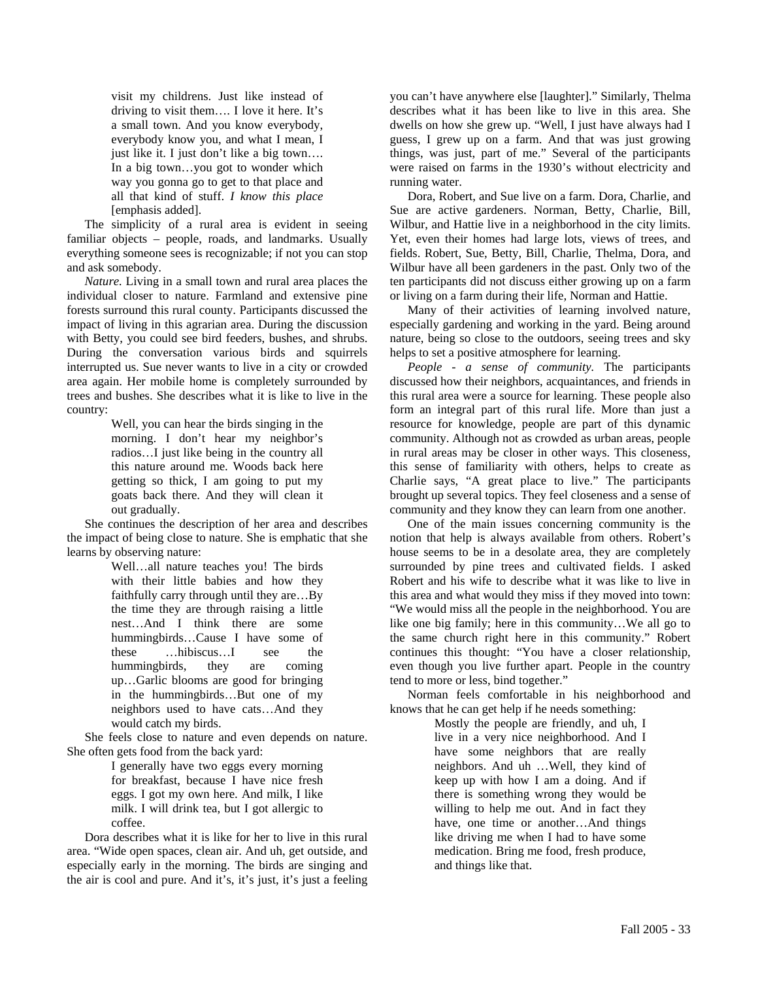visit my childrens. Just like instead of driving to visit them…. I love it here. It's a small town. And you know everybody, everybody know you, and what I mean, I just like it. I just don't like a big town…. In a big town…you got to wonder which way you gonna go to get to that place and all that kind of stuff. *I know this place* [emphasis added].

The simplicity of a rural area is evident in seeing familiar objects – people, roads, and landmarks. Usually everything someone sees is recognizable; if not you can stop and ask somebody.

*Nature.* Living in a small town and rural area places the individual closer to nature. Farmland and extensive pine forests surround this rural county. Participants discussed the impact of living in this agrarian area. During the discussion with Betty, you could see bird feeders, bushes, and shrubs. During the conversation various birds and squirrels interrupted us. Sue never wants to live in a city or crowded area again. Her mobile home is completely surrounded by trees and bushes. She describes what it is like to live in the country:

> Well, you can hear the birds singing in the morning. I don't hear my neighbor's radios…I just like being in the country all this nature around me. Woods back here getting so thick, I am going to put my goats back there. And they will clean it out gradually.

She continues the description of her area and describes the impact of being close to nature. She is emphatic that she learns by observing nature:

Well…all nature teaches you! The birds with their little babies and how they faithfully carry through until they are…By the time they are through raising a little nest…And I think there are some hummingbirds…Cause I have some of these …hibiscus…I see the hummingbirds, they are coming up…Garlic blooms are good for bringing in the hummingbirds…But one of my neighbors used to have cats…And they would catch my birds.

She feels close to nature and even depends on nature. She often gets food from the back yard:

> I generally have two eggs every morning for breakfast, because I have nice fresh eggs. I got my own here. And milk, I like milk. I will drink tea, but I got allergic to coffee.

Dora describes what it is like for her to live in this rural area. "Wide open spaces, clean air. And uh, get outside, and especially early in the morning. The birds are singing and the air is cool and pure. And it's, it's just, it's just a feeling you can't have anywhere else [laughter]." Similarly, Thelma describes what it has been like to live in this area. She dwells on how she grew up. "Well, I just have always had I guess, I grew up on a farm. And that was just growing things, was just, part of me." Several of the participants were raised on farms in the 1930's without electricity and running water.

Dora, Robert, and Sue live on a farm. Dora, Charlie, and Sue are active gardeners. Norman, Betty, Charlie, Bill, Wilbur, and Hattie live in a neighborhood in the city limits. Yet, even their homes had large lots, views of trees, and fields. Robert, Sue, Betty, Bill, Charlie, Thelma, Dora, and Wilbur have all been gardeners in the past. Only two of the ten participants did not discuss either growing up on a farm or living on a farm during their life, Norman and Hattie.

Many of their activities of learning involved nature, especially gardening and working in the yard. Being around nature, being so close to the outdoors, seeing trees and sky helps to set a positive atmosphere for learning.

*People - a sense of community.* The participants discussed how their neighbors, acquaintances, and friends in this rural area were a source for learning. These people also form an integral part of this rural life. More than just a resource for knowledge, people are part of this dynamic community. Although not as crowded as urban areas, people in rural areas may be closer in other ways. This closeness, this sense of familiarity with others, helps to create as Charlie says, "A great place to live." The participants brought up several topics. They feel closeness and a sense of community and they know they can learn from one another.

One of the main issues concerning community is the notion that help is always available from others. Robert's house seems to be in a desolate area, they are completely surrounded by pine trees and cultivated fields. I asked Robert and his wife to describe what it was like to live in this area and what would they miss if they moved into town: "We would miss all the people in the neighborhood. You are like one big family; here in this community…We all go to the same church right here in this community." Robert continues this thought: "You have a closer relationship, even though you live further apart. People in the country tend to more or less, bind together."

Norman feels comfortable in his neighborhood and knows that he can get help if he needs something:

> Mostly the people are friendly, and uh, I live in a very nice neighborhood. And I have some neighbors that are really neighbors. And uh …Well, they kind of keep up with how I am a doing. And if there is something wrong they would be willing to help me out. And in fact they have, one time or another…And things like driving me when I had to have some medication. Bring me food, fresh produce, and things like that.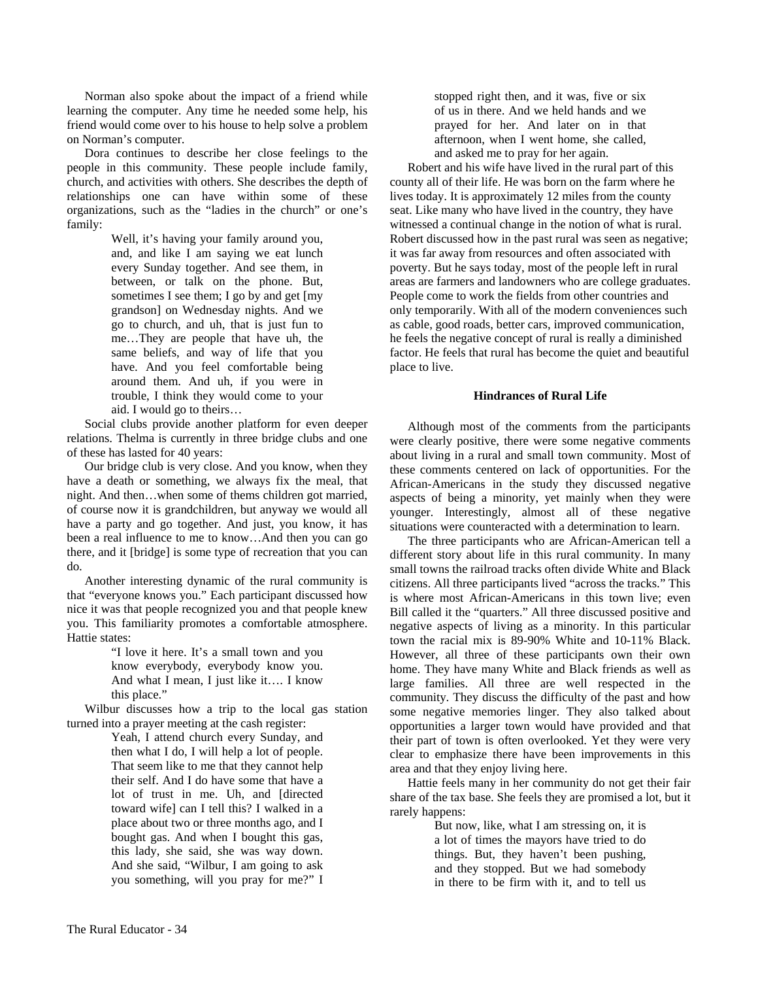Norman also spoke about the impact of a friend while learning the computer. Any time he needed some help, his friend would come over to his house to help solve a problem on Norman's computer.

Dora continues to describe her close feelings to the people in this community. These people include family, church, and activities with others. She describes the depth of relationships one can have within some of these organizations, such as the "ladies in the church" or one's family:

> Well, it's having your family around you, and, and like I am saying we eat lunch every Sunday together. And see them, in between, or talk on the phone. But, sometimes I see them; I go by and get [my grandson] on Wednesday nights. And we go to church, and uh, that is just fun to me…They are people that have uh, the same beliefs, and way of life that you have. And you feel comfortable being around them. And uh, if you were in trouble, I think they would come to your aid. I would go to theirs…

Social clubs provide another platform for even deeper relations. Thelma is currently in three bridge clubs and one of these has lasted for 40 years:

Our bridge club is very close. And you know, when they have a death or something, we always fix the meal, that night. And then…when some of thems children got married, of course now it is grandchildren, but anyway we would all have a party and go together. And just, you know, it has been a real influence to me to know…And then you can go there, and it [bridge] is some type of recreation that you can do.

Another interesting dynamic of the rural community is that "everyone knows you." Each participant discussed how nice it was that people recognized you and that people knew you. This familiarity promotes a comfortable atmosphere. Hattie states:

> "I love it here. It's a small town and you know everybody, everybody know you. And what I mean, I just like it…. I know this place."

Wilbur discusses how a trip to the local gas station turned into a prayer meeting at the cash register:

Yeah, I attend church every Sunday, and then what I do, I will help a lot of people. That seem like to me that they cannot help their self. And I do have some that have a lot of trust in me. Uh, and [directed toward wife] can I tell this? I walked in a place about two or three months ago, and I bought gas. And when I bought this gas, this lady, she said, she was way down. And she said, "Wilbur, I am going to ask you something, will you pray for me?" I stopped right then, and it was, five or six of us in there. And we held hands and we prayed for her. And later on in that afternoon, when I went home, she called, and asked me to pray for her again.

Robert and his wife have lived in the rural part of this county all of their life. He was born on the farm where he lives today. It is approximately 12 miles from the county seat. Like many who have lived in the country, they have witnessed a continual change in the notion of what is rural. Robert discussed how in the past rural was seen as negative; it was far away from resources and often associated with poverty. But he says today, most of the people left in rural areas are farmers and landowners who are college graduates. People come to work the fields from other countries and only temporarily. With all of the modern conveniences such as cable, good roads, better cars, improved communication, he feels the negative concept of rural is really a diminished factor. He feels that rural has become the quiet and beautiful place to live.

#### **Hindrances of Rural Life**

Although most of the comments from the participants were clearly positive, there were some negative comments about living in a rural and small town community. Most of these comments centered on lack of opportunities. For the African-Americans in the study they discussed negative aspects of being a minority, yet mainly when they were younger. Interestingly, almost all of these negative situations were counteracted with a determination to learn.

The three participants who are African-American tell a different story about life in this rural community. In many small towns the railroad tracks often divide White and Black citizens. All three participants lived "across the tracks." This is where most African-Americans in this town live; even Bill called it the "quarters." All three discussed positive and negative aspects of living as a minority. In this particular town the racial mix is 89-90% White and 10-11% Black. However, all three of these participants own their own home. They have many White and Black friends as well as large families. All three are well respected in the community. They discuss the difficulty of the past and how some negative memories linger. They also talked about opportunities a larger town would have provided and that their part of town is often overlooked. Yet they were very clear to emphasize there have been improvements in this area and that they enjoy living here.

Hattie feels many in her community do not get their fair share of the tax base. She feels they are promised a lot, but it rarely happens:

> But now, like, what I am stressing on, it is a lot of times the mayors have tried to do things. But, they haven't been pushing, and they stopped. But we had somebody in there to be firm with it, and to tell us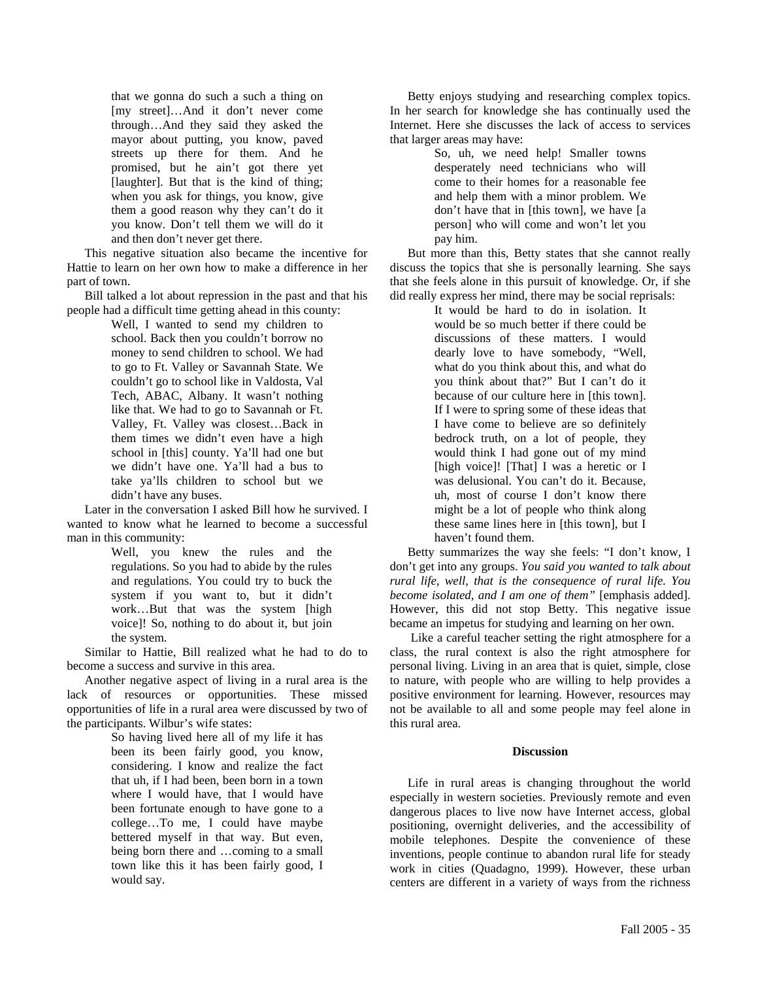that we gonna do such a such a thing on [my street]…And it don't never come through…And they said they asked the mayor about putting, you know, paved streets up there for them. And he promised, but he ain't got there yet [laughter]. But that is the kind of thing; when you ask for things, you know, give them a good reason why they can't do it you know. Don't tell them we will do it and then don't never get there.

This negative situation also became the incentive for Hattie to learn on her own how to make a difference in her part of town.

Bill talked a lot about repression in the past and that his people had a difficult time getting ahead in this county:

Well, I wanted to send my children to school. Back then you couldn't borrow no money to send children to school. We had to go to Ft. Valley or Savannah State. We couldn't go to school like in Valdosta, Val Tech, ABAC, Albany. It wasn't nothing like that. We had to go to Savannah or Ft. Valley, Ft. Valley was closest…Back in them times we didn't even have a high school in [this] county. Ya'll had one but we didn't have one. Ya'll had a bus to take ya'lls children to school but we didn't have any buses.

Later in the conversation I asked Bill how he survived. I wanted to know what he learned to become a successful man in this community:

> Well, you knew the rules and the regulations. So you had to abide by the rules and regulations. You could try to buck the system if you want to, but it didn't work…But that was the system [high voice]! So, nothing to do about it, but join the system.

Similar to Hattie, Bill realized what he had to do to become a success and survive in this area.

Another negative aspect of living in a rural area is the lack of resources or opportunities. These missed opportunities of life in a rural area were discussed by two of the participants. Wilbur's wife states:

So having lived here all of my life it has been its been fairly good, you know, considering. I know and realize the fact that uh, if I had been, been born in a town where I would have, that I would have been fortunate enough to have gone to a college…To me, I could have maybe bettered myself in that way. But even, being born there and …coming to a small town like this it has been fairly good, I would say.

Betty enjoys studying and researching complex topics. In her search for knowledge she has continually used the Internet. Here she discusses the lack of access to services that larger areas may have:

> So, uh, we need help! Smaller towns desperately need technicians who will come to their homes for a reasonable fee and help them with a minor problem. We don't have that in [this town], we have [a person] who will come and won't let you pay him.

But more than this, Betty states that she cannot really discuss the topics that she is personally learning. She says that she feels alone in this pursuit of knowledge. Or, if she did really express her mind, there may be social reprisals:

> It would be hard to do in isolation. It would be so much better if there could be discussions of these matters. I would dearly love to have somebody, "Well, what do you think about this, and what do you think about that?" But I can't do it because of our culture here in [this town]. If I were to spring some of these ideas that I have come to believe are so definitely bedrock truth, on a lot of people, they would think I had gone out of my mind [high voice]! [That] I was a heretic or I was delusional. You can't do it. Because, uh, most of course I don't know there might be a lot of people who think along these same lines here in [this town], but I haven't found them.

Betty summarizes the way she feels: "I don't know, I don't get into any groups. *You said you wanted to talk about rural life, well, that is the consequence of rural life. You become isolated, and I am one of them"* [emphasis added]. However, this did not stop Betty. This negative issue became an impetus for studying and learning on her own.

Like a careful teacher setting the right atmosphere for a class, the rural context is also the right atmosphere for personal living. Living in an area that is quiet, simple, close to nature, with people who are willing to help provides a positive environment for learning. However, resources may not be available to all and some people may feel alone in this rural area.

#### **Discussion**

Life in rural areas is changing throughout the world especially in western societies. Previously remote and even dangerous places to live now have Internet access, global positioning, overnight deliveries, and the accessibility of mobile telephones. Despite the convenience of these inventions, people continue to abandon rural life for steady work in cities (Quadagno, 1999). However, these urban centers are different in a variety of ways from the richness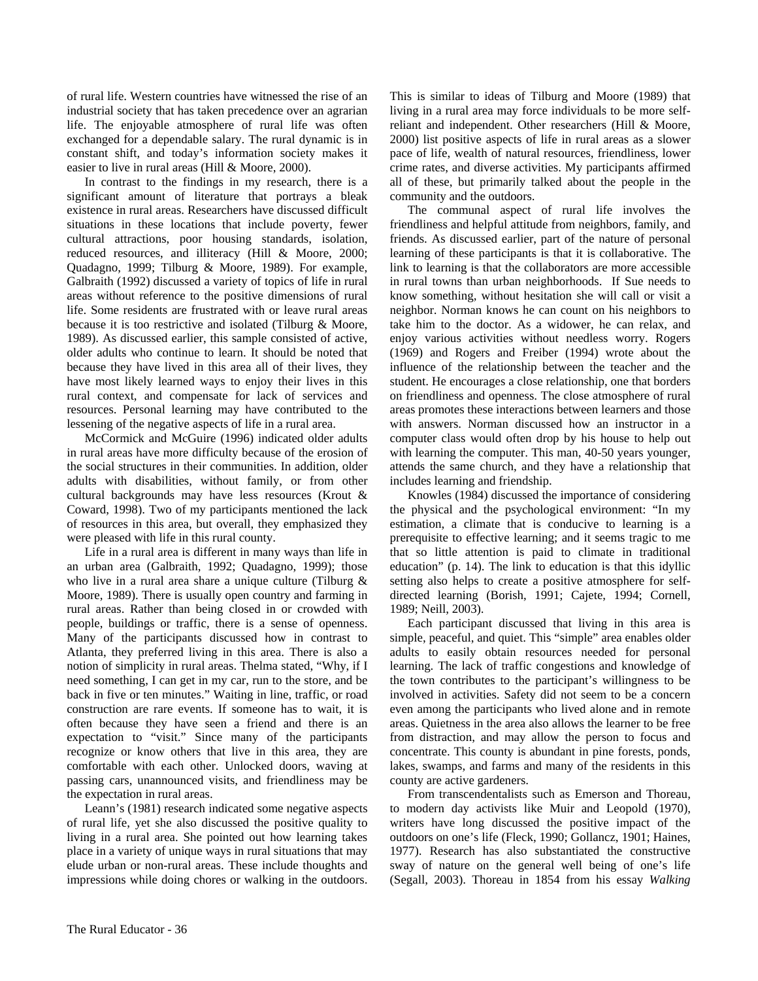of rural life. Western countries have witnessed the rise of an industrial society that has taken precedence over an agrarian life. The enjoyable atmosphere of rural life was often exchanged for a dependable salary. The rural dynamic is in constant shift, and today's information society makes it easier to live in rural areas (Hill & Moore, 2000).

In contrast to the findings in my research, there is a significant amount of literature that portrays a bleak existence in rural areas. Researchers have discussed difficult situations in these locations that include poverty, fewer cultural attractions, poor housing standards, isolation, reduced resources, and illiteracy (Hill & Moore, 2000; Quadagno, 1999; Tilburg & Moore, 1989). For example, Galbraith (1992) discussed a variety of topics of life in rural areas without reference to the positive dimensions of rural life. Some residents are frustrated with or leave rural areas because it is too restrictive and isolated (Tilburg & Moore, 1989). As discussed earlier, this sample consisted of active, older adults who continue to learn. It should be noted that because they have lived in this area all of their lives, they have most likely learned ways to enjoy their lives in this rural context, and compensate for lack of services and resources. Personal learning may have contributed to the lessening of the negative aspects of life in a rural area.

McCormick and McGuire (1996) indicated older adults in rural areas have more difficulty because of the erosion of the social structures in their communities. In addition, older adults with disabilities, without family, or from other cultural backgrounds may have less resources (Krout & Coward, 1998). Two of my participants mentioned the lack of resources in this area, but overall, they emphasized they were pleased with life in this rural county.

Life in a rural area is different in many ways than life in an urban area (Galbraith, 1992; Quadagno, 1999); those who live in a rural area share a unique culture (Tilburg & Moore, 1989). There is usually open country and farming in rural areas. Rather than being closed in or crowded with people, buildings or traffic, there is a sense of openness. Many of the participants discussed how in contrast to Atlanta, they preferred living in this area. There is also a notion of simplicity in rural areas. Thelma stated, "Why, if I need something, I can get in my car, run to the store, and be back in five or ten minutes." Waiting in line, traffic, or road construction are rare events. If someone has to wait, it is often because they have seen a friend and there is an expectation to "visit." Since many of the participants recognize or know others that live in this area, they are comfortable with each other. Unlocked doors, waving at passing cars, unannounced visits, and friendliness may be the expectation in rural areas.

Leann's (1981) research indicated some negative aspects of rural life, yet she also discussed the positive quality to living in a rural area. She pointed out how learning takes place in a variety of unique ways in rural situations that may elude urban or non-rural areas. These include thoughts and impressions while doing chores or walking in the outdoors. This is similar to ideas of Tilburg and Moore (1989) that living in a rural area may force individuals to be more selfreliant and independent. Other researchers (Hill & Moore, 2000) list positive aspects of life in rural areas as a slower pace of life, wealth of natural resources, friendliness, lower crime rates, and diverse activities. My participants affirmed all of these, but primarily talked about the people in the community and the outdoors.

The communal aspect of rural life involves the friendliness and helpful attitude from neighbors, family, and friends. As discussed earlier, part of the nature of personal learning of these participants is that it is collaborative. The link to learning is that the collaborators are more accessible in rural towns than urban neighborhoods. If Sue needs to know something, without hesitation she will call or visit a neighbor. Norman knows he can count on his neighbors to take him to the doctor. As a widower, he can relax, and enjoy various activities without needless worry. Rogers (1969) and Rogers and Freiber (1994) wrote about the influence of the relationship between the teacher and the student. He encourages a close relationship, one that borders on friendliness and openness. The close atmosphere of rural areas promotes these interactions between learners and those with answers. Norman discussed how an instructor in a computer class would often drop by his house to help out with learning the computer. This man, 40-50 years younger, attends the same church, and they have a relationship that includes learning and friendship.

Knowles (1984) discussed the importance of considering the physical and the psychological environment: "In my estimation, a climate that is conducive to learning is a prerequisite to effective learning; and it seems tragic to me that so little attention is paid to climate in traditional education" (p. 14). The link to education is that this idyllic setting also helps to create a positive atmosphere for selfdirected learning (Borish, 1991; Cajete, 1994; Cornell, 1989; Neill, 2003).

Each participant discussed that living in this area is simple, peaceful, and quiet. This "simple" area enables older adults to easily obtain resources needed for personal learning. The lack of traffic congestions and knowledge of the town contributes to the participant's willingness to be involved in activities. Safety did not seem to be a concern even among the participants who lived alone and in remote areas. Quietness in the area also allows the learner to be free from distraction, and may allow the person to focus and concentrate. This county is abundant in pine forests, ponds, lakes, swamps, and farms and many of the residents in this county are active gardeners.

From transcendentalists such as Emerson and Thoreau, to modern day activists like Muir and Leopold (1970), writers have long discussed the positive impact of the outdoors on one's life (Fleck, 1990; Gollancz, 1901; Haines, 1977). Research has also substantiated the constructive sway of nature on the general well being of one's life (Segall, 2003). Thoreau in 1854 from his essay *Walking*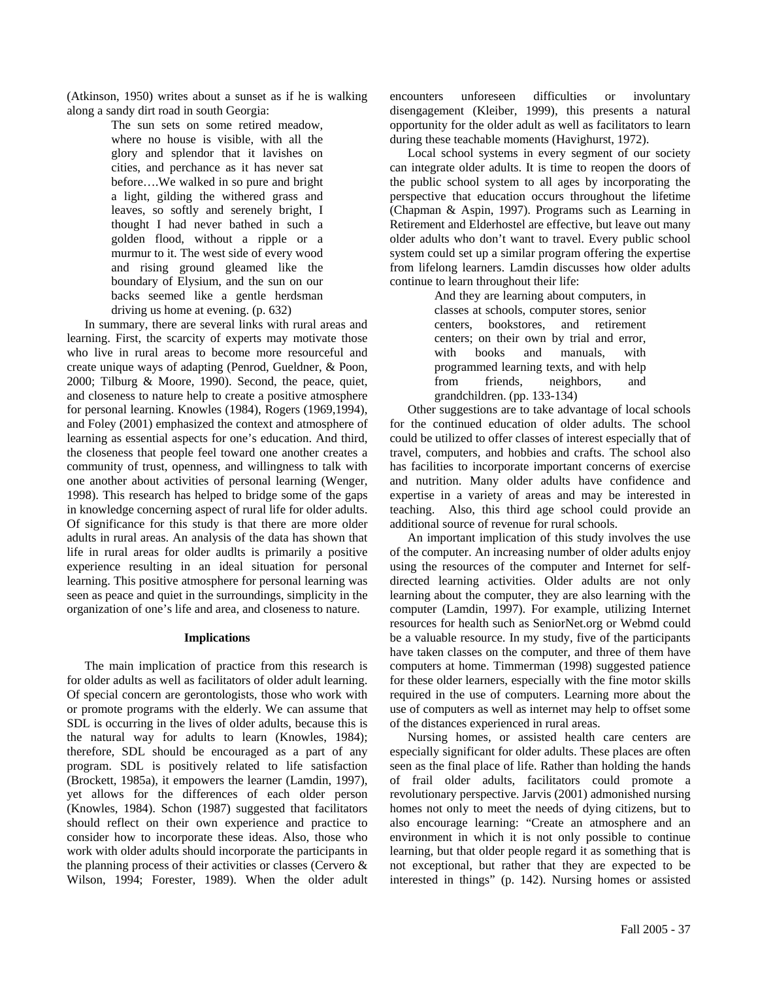(Atkinson, 1950) writes about a sunset as if he is walking along a sandy dirt road in south Georgia:

> The sun sets on some retired meadow, where no house is visible, with all the glory and splendor that it lavishes on cities, and perchance as it has never sat before….We walked in so pure and bright a light, gilding the withered grass and leaves, so softly and serenely bright, I thought I had never bathed in such a golden flood, without a ripple or a murmur to it. The west side of every wood and rising ground gleamed like the boundary of Elysium, and the sun on our backs seemed like a gentle herdsman driving us home at evening. (p. 632)

In summary, there are several links with rural areas and learning. First, the scarcity of experts may motivate those who live in rural areas to become more resourceful and create unique ways of adapting (Penrod, Gueldner, & Poon, 2000; Tilburg & Moore, 1990). Second, the peace, quiet, and closeness to nature help to create a positive atmosphere for personal learning. Knowles (1984), Rogers (1969,1994), and Foley (2001) emphasized the context and atmosphere of learning as essential aspects for one's education. And third, the closeness that people feel toward one another creates a community of trust, openness, and willingness to talk with one another about activities of personal learning (Wenger, 1998). This research has helped to bridge some of the gaps in knowledge concerning aspect of rural life for older adults. Of significance for this study is that there are more older adults in rural areas. An analysis of the data has shown that life in rural areas for older audlts is primarily a positive experience resulting in an ideal situation for personal learning. This positive atmosphere for personal learning was seen as peace and quiet in the surroundings, simplicity in the organization of one's life and area, and closeness to nature.

#### **Implications**

The main implication of practice from this research is for older adults as well as facilitators of older adult learning. Of special concern are gerontologists, those who work with or promote programs with the elderly. We can assume that SDL is occurring in the lives of older adults, because this is the natural way for adults to learn (Knowles, 1984); therefore, SDL should be encouraged as a part of any program. SDL is positively related to life satisfaction (Brockett, 1985a), it empowers the learner (Lamdin, 1997), yet allows for the differences of each older person (Knowles, 1984). Schon (1987) suggested that facilitators should reflect on their own experience and practice to consider how to incorporate these ideas. Also, those who work with older adults should incorporate the participants in the planning process of their activities or classes (Cervero & Wilson, 1994; Forester, 1989). When the older adult encounters unforeseen difficulties or involuntary disengagement (Kleiber, 1999), this presents a natural opportunity for the older adult as well as facilitators to learn during these teachable moments (Havighurst, 1972).

Local school systems in every segment of our society can integrate older adults. It is time to reopen the doors of the public school system to all ages by incorporating the perspective that education occurs throughout the lifetime (Chapman & Aspin, 1997). Programs such as Learning in Retirement and Elderhostel are effective, but leave out many older adults who don't want to travel. Every public school system could set up a similar program offering the expertise from lifelong learners. Lamdin discusses how older adults continue to learn throughout their life:

> And they are learning about computers, in classes at schools, computer stores, senior centers, bookstores, and retirement centers; on their own by trial and error, with books and manuals, with programmed learning texts, and with help from friends, neighbors, and grandchildren. (pp. 133-134)

Other suggestions are to take advantage of local schools for the continued education of older adults. The school could be utilized to offer classes of interest especially that of travel, computers, and hobbies and crafts. The school also has facilities to incorporate important concerns of exercise and nutrition. Many older adults have confidence and expertise in a variety of areas and may be interested in teaching. Also, this third age school could provide an additional source of revenue for rural schools.

An important implication of this study involves the use of the computer. An increasing number of older adults enjoy using the resources of the computer and Internet for selfdirected learning activities. Older adults are not only learning about the computer, they are also learning with the computer (Lamdin, 1997). For example, utilizing Internet resources for health such as SeniorNet.org or Webmd could be a valuable resource. In my study, five of the participants have taken classes on the computer, and three of them have computers at home. Timmerman (1998) suggested patience for these older learners, especially with the fine motor skills required in the use of computers. Learning more about the use of computers as well as internet may help to offset some of the distances experienced in rural areas.

Nursing homes, or assisted health care centers are especially significant for older adults. These places are often seen as the final place of life. Rather than holding the hands of frail older adults, facilitators could promote a revolutionary perspective. Jarvis (2001) admonished nursing homes not only to meet the needs of dying citizens, but to also encourage learning: "Create an atmosphere and an environment in which it is not only possible to continue learning, but that older people regard it as something that is not exceptional, but rather that they are expected to be interested in things" (p. 142). Nursing homes or assisted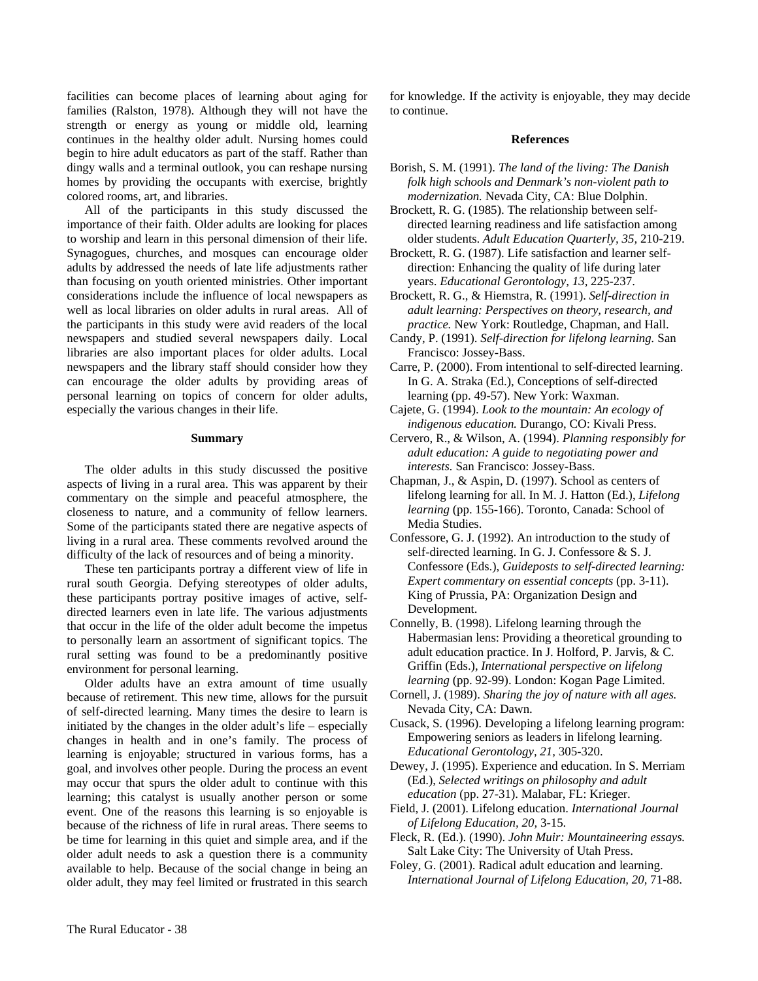facilities can become places of learning about aging for families (Ralston, 1978). Although they will not have the strength or energy as young or middle old, learning continues in the healthy older adult. Nursing homes could begin to hire adult educators as part of the staff. Rather than dingy walls and a terminal outlook, you can reshape nursing homes by providing the occupants with exercise, brightly colored rooms, art, and libraries.

All of the participants in this study discussed the importance of their faith. Older adults are looking for places to worship and learn in this personal dimension of their life. Synagogues, churches, and mosques can encourage older adults by addressed the needs of late life adjustments rather than focusing on youth oriented ministries. Other important considerations include the influence of local newspapers as well as local libraries on older adults in rural areas. All of the participants in this study were avid readers of the local newspapers and studied several newspapers daily. Local libraries are also important places for older adults. Local newspapers and the library staff should consider how they can encourage the older adults by providing areas of personal learning on topics of concern for older adults, especially the various changes in their life.

#### **Summary**

The older adults in this study discussed the positive aspects of living in a rural area. This was apparent by their commentary on the simple and peaceful atmosphere, the closeness to nature, and a community of fellow learners. Some of the participants stated there are negative aspects of living in a rural area. These comments revolved around the difficulty of the lack of resources and of being a minority.

These ten participants portray a different view of life in rural south Georgia. Defying stereotypes of older adults, these participants portray positive images of active, selfdirected learners even in late life. The various adjustments that occur in the life of the older adult become the impetus to personally learn an assortment of significant topics. The rural setting was found to be a predominantly positive environment for personal learning.

Older adults have an extra amount of time usually because of retirement. This new time, allows for the pursuit of self-directed learning. Many times the desire to learn is initiated by the changes in the older adult's life – especially changes in health and in one's family. The process of learning is enjoyable; structured in various forms, has a goal, and involves other people. During the process an event may occur that spurs the older adult to continue with this learning; this catalyst is usually another person or some event. One of the reasons this learning is so enjoyable is because of the richness of life in rural areas. There seems to be time for learning in this quiet and simple area, and if the older adult needs to ask a question there is a community available to help. Because of the social change in being an older adult, they may feel limited or frustrated in this search

for knowledge. If the activity is enjoyable, they may decide to continue.

#### **References**

Borish, S. M. (1991). *The land of the living: The Danish folk high schools and Denmark's non-violent path to modernization.* Nevada City, CA: Blue Dolphin.

Brockett, R. G. (1985). The relationship between selfdirected learning readiness and life satisfaction among older students. *Adult Education Quarterly, 35,* 210-219.

Brockett, R. G. (1987). Life satisfaction and learner selfdirection: Enhancing the quality of life during later years. *Educational Gerontology, 13,* 225-237.

Brockett, R. G., & Hiemstra, R. (1991). *Self-direction in adult learning: Perspectives on theory, research, and practice.* New York: Routledge, Chapman, and Hall.

- Candy, P. (1991). *Self-direction for lifelong learning.* San Francisco: Jossey-Bass.
- Carre, P. (2000). From intentional to self-directed learning. In G. A. Straka (Ed.), Conceptions of self-directed learning (pp. 49-57). New York: Waxman.

Cajete, G. (1994). *Look to the mountain: An ecology of indigenous education.* Durango, CO: Kivali Press.

Cervero, R., & Wilson, A. (1994). *Planning responsibly for adult education: A guide to negotiating power and interests.* San Francisco: Jossey-Bass.

- Chapman, J., & Aspin, D. (1997). School as centers of lifelong learning for all. In M. J. Hatton (Ed.), *Lifelong learning* (pp. 155-166). Toronto, Canada: School of Media Studies.
- Confessore, G. J. (1992). An introduction to the study of self-directed learning. In G. J. Confessore & S. J. Confessore (Eds.), *Guideposts to self-directed learning: Expert commentary on essential concepts* (pp. 3-11). King of Prussia, PA: Organization Design and Development.
- Connelly, B. (1998). Lifelong learning through the Habermasian lens: Providing a theoretical grounding to adult education practice. In J. Holford, P. Jarvis, & C. Griffin (Eds.), *International perspective on lifelong learning* (pp. 92-99). London: Kogan Page Limited.
- Cornell, J. (1989). *Sharing the joy of nature with all ages.* Nevada City, CA: Dawn.

Cusack, S. (1996). Developing a lifelong learning program: Empowering seniors as leaders in lifelong learning. *Educational Gerontology, 21,* 305-320.

Dewey, J. (1995). Experience and education. In S. Merriam (Ed.), *Selected writings on philosophy and adult education* (pp. 27-31). Malabar, FL: Krieger.

- Field, J. (2001). Lifelong education. *International Journal of Lifelong Education, 20,* 3-15.
- Fleck, R. (Ed.). (1990). *John Muir: Mountaineering essays.* Salt Lake City: The University of Utah Press.
- Foley, G. (2001). Radical adult education and learning. *International Journal of Lifelong Education, 20,* 71-88.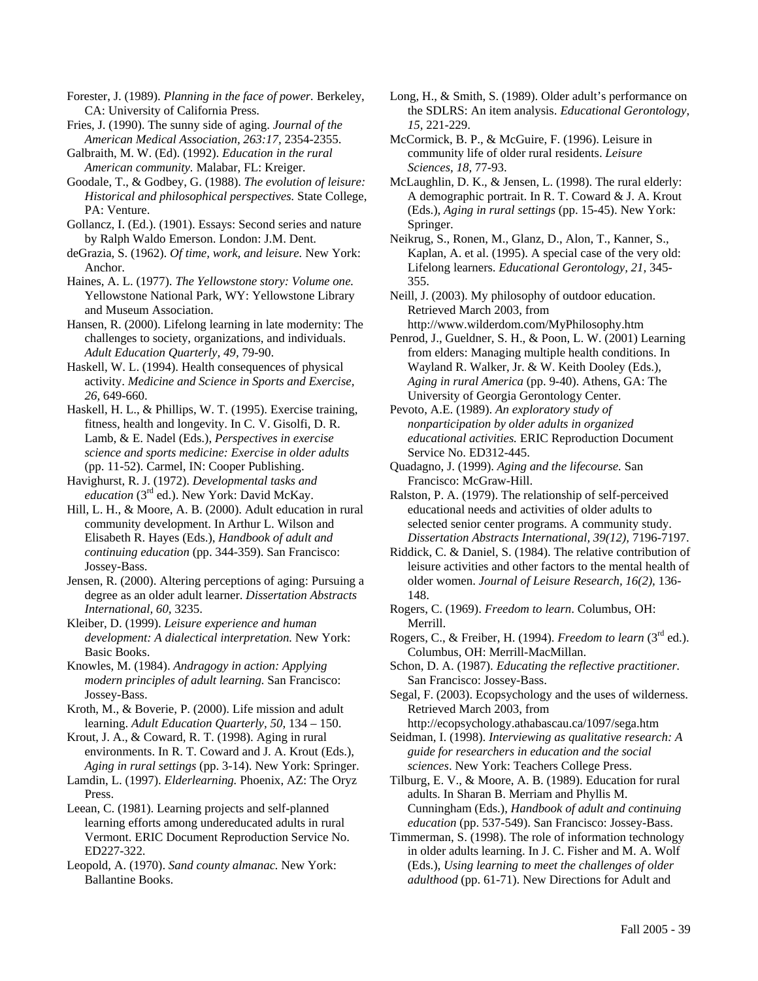Forester, J. (1989). *Planning in the face of power.* Berkeley, CA: University of California Press.

Fries, J. (1990). The sunny side of aging. *Journal of the American Medical Association, 263:17,* 2354-2355.

Galbraith, M. W. (Ed). (1992). *Education in the rural American community.* Malabar, FL: Kreiger.

Goodale, T., & Godbey, G. (1988). *The evolution of leisure: Historical and philosophical perspectives.* State College, PA: Venture.

Gollancz, I. (Ed.). (1901). Essays: Second series and nature by Ralph Waldo Emerson. London: J.M. Dent.

deGrazia, S. (1962). *Of time, work, and leisure.* New York: Anchor.

Haines, A. L. (1977). *The Yellowstone story: Volume one.* Yellowstone National Park, WY: Yellowstone Library and Museum Association.

Hansen, R. (2000). Lifelong learning in late modernity: The challenges to society, organizations, and individuals. *Adult Education Quarterly, 49,* 79-90.

Haskell, W. L. (1994). Health consequences of physical activity. *Medicine and Science in Sports and Exercise, 26,* 649-660.

Haskell, H. L., & Phillips, W. T. (1995). Exercise training, fitness, health and longevity. In C. V. Gisolfi, D. R. Lamb, & E. Nadel (Eds.), *Perspectives in exercise science and sports medicine: Exercise in older adults* (pp. 11-52). Carmel, IN: Cooper Publishing.

Havighurst, R. J. (1972). *Developmental tasks and education* (3<sup>rd</sup> ed.). New York: David McKay.

Hill, L. H., & Moore, A. B. (2000). Adult education in rural community development. In Arthur L. Wilson and Elisabeth R. Hayes (Eds.), *Handbook of adult and continuing education* (pp. 344-359). San Francisco: Jossey-Bass.

Jensen, R. (2000). Altering perceptions of aging: Pursuing a degree as an older adult learner. *Dissertation Abstracts International, 60,* 3235.

Kleiber, D. (1999). *Leisure experience and human development: A dialectical interpretation.* New York: Basic Books.

Knowles, M. (1984). *Andragogy in action: Applying modern principles of adult learning.* San Francisco: Jossey-Bass.

Kroth, M., & Boverie, P. (2000). Life mission and adult learning. *Adult Education Quarterly, 50,* 134 – 150.

Krout, J. A., & Coward, R. T. (1998). Aging in rural environments. In R. T. Coward and J. A. Krout (Eds.), *Aging in rural settings* (pp. 3-14). New York: Springer.

Lamdin, L. (1997). *Elderlearning.* Phoenix, AZ: The Oryz Press.

Leean, C. (1981). Learning projects and self-planned learning efforts among undereducated adults in rural Vermont. ERIC Document Reproduction Service No. ED227-322.

Leopold, A. (1970). *Sand county almanac.* New York: Ballantine Books.

Long, H., & Smith, S. (1989). Older adult's performance on the SDLRS: An item analysis. *Educational Gerontology, 15,* 221-229.

McCormick, B. P., & McGuire, F. (1996). Leisure in community life of older rural residents. *Leisure Sciences, 18,* 77-93.

McLaughlin, D. K., & Jensen, L. (1998). The rural elderly: A demographic portrait. In R. T. Coward & J. A. Krout (Eds.), *Aging in rural settings* (pp. 15-45). New York: Springer.

Neikrug, S., Ronen, M., Glanz, D., Alon, T., Kanner, S., Kaplan, A. et al. (1995). A special case of the very old: Lifelong learners. *Educational Gerontology, 21,* 345- 355.

Neill, J. (2003). My philosophy of outdoor education. Retrieved March 2003, from

http://www.wilderdom.com/MyPhilosophy.htm

Penrod, J., Gueldner, S. H., & Poon, L. W. (2001) Learning from elders: Managing multiple health conditions. In Wayland R. Walker, Jr. & W. Keith Dooley (Eds.), *Aging in rural America* (pp. 9-40). Athens, GA: The University of Georgia Gerontology Center.

Pevoto, A.E. (1989). *An exploratory study of nonparticipation by older adults in organized educational activities.* ERIC Reproduction Document Service No. ED312-445.

Quadagno, J. (1999). *Aging and the lifecourse.* San Francisco: McGraw-Hill.

Ralston, P. A. (1979). The relationship of self-perceived educational needs and activities of older adults to selected senior center programs. A community study. *Dissertation Abstracts International, 39(12),* 7196-7197.

Riddick, C. & Daniel, S. (1984). The relative contribution of leisure activities and other factors to the mental health of older women. *Journal of Leisure Research, 16(2),* 136- 148.

Rogers, C. (1969). *Freedom to learn*. Columbus, OH: Merrill.

Rogers, C., & Freiber, H. (1994). *Freedom to learn* (3rd ed.). Columbus, OH: Merrill-MacMillan.

Schon, D. A. (1987). *Educating the reflective practitioner.* San Francisco: Jossey-Bass.

Segal, F. (2003). Ecopsychology and the uses of wilderness. Retrieved March 2003, from

http://ecopsychology.athabascau.ca/1097/sega.htm Seidman, I. (1998). *Interviewing as qualitative research: A guide for researchers in education and the social sciences*. New York: Teachers College Press.

Tilburg, E. V., & Moore, A. B. (1989). Education for rural adults. In Sharan B. Merriam and Phyllis M. Cunningham (Eds.), *Handbook of adult and continuing education* (pp. 537-549). San Francisco: Jossey-Bass.

Timmerman, S. (1998). The role of information technology in older adults learning. In J. C. Fisher and M. A. Wolf (Eds.), *Using learning to meet the challenges of older adulthood* (pp. 61-71). New Directions for Adult and